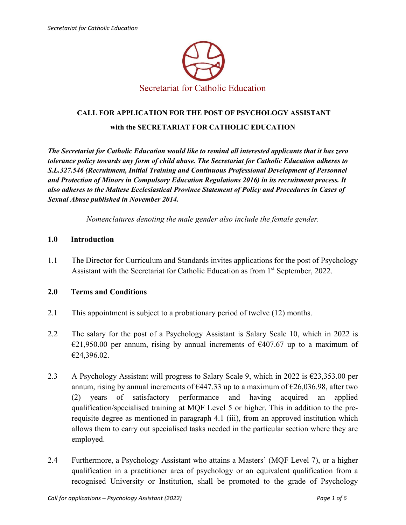

# **CALL FOR APPLICATION FOR THE POST OF PSYCHOLOGY ASSISTANT with the SECRETARIAT FOR CATHOLIC EDUCATION**

*The Secretariat for Catholic Education would like to remind all interested applicants that it has zero tolerance policy towards any form of child abuse. The Secretariat for Catholic Education adheres to S.L.327.546 (Recruitment, Initial Training and Continuous Professional Development of Personnel and Protection of Minors in Compulsory Education Regulations 2016) in its recruitment process. It also adheres to the Maltese Ecclesiastical Province Statement of Policy and Procedures in Cases of Sexual Abuse published in November 2014.* 

*Nomenclatures denoting the male gender also include the female gender.* 

#### **1.0 Introduction**

1.1 The Director for Curriculum and Standards invites applications for the post of Psychology Assistant with the Secretariat for Catholic Education as from 1<sup>st</sup> September, 2022.

#### **2.0 Terms and Conditions**

- 2.1 This appointment is subject to a probationary period of twelve (12) months.
- 2.2 The salary for the post of a Psychology Assistant is Salary Scale 10, which in 2022 is  $\epsilon$ 21,950.00 per annum, rising by annual increments of  $\epsilon$ 407.67 up to a maximum of €24,396.02.
- 2.3 A Psychology Assistant will progress to Salary Scale 9, which in 2022 is  $\epsilon$ 23,353.00 per annum, rising by annual increments of  $\epsilon$ 447.33 up to a maximum of  $\epsilon$ 26,036.98, after two (2) years of satisfactory performance and having acquired an applied qualification/specialised training at MQF Level 5 or higher. This in addition to the prerequisite degree as mentioned in paragraph 4.1 (iii), from an approved institution which allows them to carry out specialised tasks needed in the particular section where they are employed.
- 2.4 Furthermore, a Psychology Assistant who attains a Masters' (MQF Level 7), or a higher qualification in a practitioner area of psychology or an equivalent qualification from a recognised University or Institution, shall be promoted to the grade of Psychology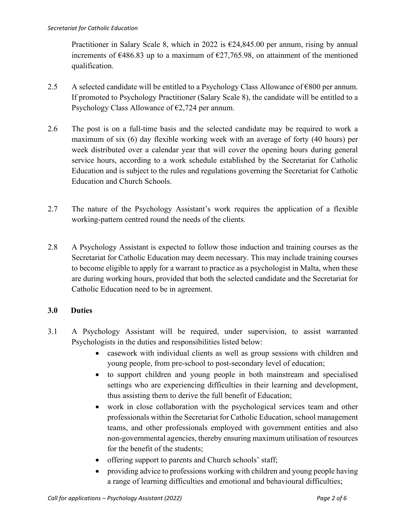Practitioner in Salary Scale 8, which in 2022 is  $\epsilon$ 24,845.00 per annum, rising by annual increments of  $\epsilon$ 486.83 up to a maximum of  $\epsilon$ 27,765.98, on attainment of the mentioned qualification.

- 2.5 A selected candidate will be entitled to a Psychology Class Allowance of  $\epsilon$ 800 per annum. If promoted to Psychology Practitioner (Salary Scale 8), the candidate will be entitled to a Psychology Class Allowance of  $\epsilon$ 2,724 per annum.
- 2.6 The post is on a full-time basis and the selected candidate may be required to work a maximum of six (6) day flexible working week with an average of forty (40 hours) per week distributed over a calendar year that will cover the opening hours during general service hours, according to a work schedule established by the Secretariat for Catholic Education and is subject to the rules and regulations governing the Secretariat for Catholic Education and Church Schools.
- 2.7 The nature of the Psychology Assistant's work requires the application of a flexible working-pattern centred round the needs of the clients.
- 2.8 A Psychology Assistant is expected to follow those induction and training courses as the Secretariat for Catholic Education may deem necessary. This may include training courses to become eligible to apply for a warrant to practice as a psychologist in Malta, when these are during working hours, provided that both the selected candidate and the Secretariat for Catholic Education need to be in agreement.

## **3.0 Duties**

- 3.1 A Psychology Assistant will be required, under supervision, to assist warranted Psychologists in the duties and responsibilities listed below:
	- casework with individual clients as well as group sessions with children and young people, from pre-school to post-secondary level of education;
	- to support children and young people in both mainstream and specialised settings who are experiencing difficulties in their learning and development, thus assisting them to derive the full benefit of Education;
	- work in close collaboration with the psychological services team and other professionals within the Secretariat for Catholic Education, school management teams, and other professionals employed with government entities and also non-governmental agencies, thereby ensuring maximum utilisation of resources for the benefit of the students;
	- offering support to parents and Church schools' staff;
	- providing advice to professions working with children and young people having a range of learning difficulties and emotional and behavioural difficulties;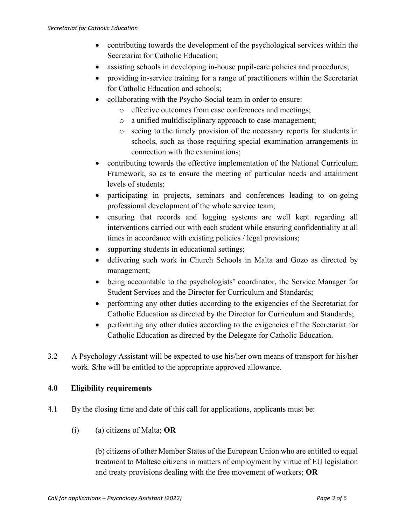- contributing towards the development of the psychological services within the Secretariat for Catholic Education;
- assisting schools in developing in-house pupil-care policies and procedures;
- providing in-service training for a range of practitioners within the Secretariat for Catholic Education and schools;
- collaborating with the Psycho-Social team in order to ensure:
	- o effective outcomes from case conferences and meetings;
	- o a unified multidisciplinary approach to case-management;
	- o seeing to the timely provision of the necessary reports for students in schools, such as those requiring special examination arrangements in connection with the examinations;
- contributing towards the effective implementation of the National Curriculum Framework, so as to ensure the meeting of particular needs and attainment levels of students;
- participating in projects, seminars and conferences leading to on-going professional development of the whole service team;
- ensuring that records and logging systems are well kept regarding all interventions carried out with each student while ensuring confidentiality at all times in accordance with existing policies / legal provisions;
- supporting students in educational settings;
- delivering such work in Church Schools in Malta and Gozo as directed by management;
- being accountable to the psychologists' coordinator, the Service Manager for Student Services and the Director for Curriculum and Standards;
- performing any other duties according to the exigencies of the Secretariat for Catholic Education as directed by the Director for Curriculum and Standards;
- performing any other duties according to the exigencies of the Secretariat for Catholic Education as directed by the Delegate for Catholic Education.
- 3.2 A Psychology Assistant will be expected to use his/her own means of transport for his/her work. S/he will be entitled to the appropriate approved allowance.

#### **4.0 Eligibility requirements**

- 4.1 By the closing time and date of this call for applications, applicants must be:
	- (i) (a) citizens of Malta; **OR**

(b) citizens of other Member States of the European Union who are entitled to equal treatment to Maltese citizens in matters of employment by virtue of EU legislation and treaty provisions dealing with the free movement of workers; **OR**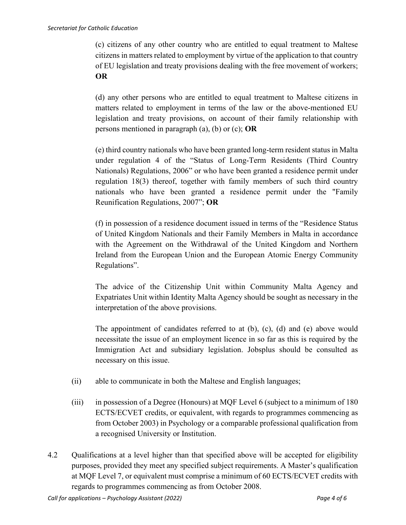(c) citizens of any other country who are entitled to equal treatment to Maltese citizens in matters related to employment by virtue of the application to that country of EU legislation and treaty provisions dealing with the free movement of workers; **OR**

(d) any other persons who are entitled to equal treatment to Maltese citizens in matters related to employment in terms of the law or the above-mentioned EU legislation and treaty provisions, on account of their family relationship with persons mentioned in paragraph (a), (b) or (c); **OR**

(e) third country nationals who have been granted long-term resident status in Malta under regulation 4 of the "Status of Long-Term Residents (Third Country Nationals) Regulations, 2006" or who have been granted a residence permit under regulation 18(3) thereof, together with family members of such third country nationals who have been granted a residence permit under the "Family Reunification Regulations, 2007"; **OR**

(f) in possession of a residence document issued in terms of the "Residence Status of United Kingdom Nationals and their Family Members in Malta in accordance with the Agreement on the Withdrawal of the United Kingdom and Northern Ireland from the European Union and the European Atomic Energy Community Regulations".

The advice of the Citizenship Unit within Community Malta Agency and Expatriates Unit within Identity Malta Agency should be sought as necessary in the interpretation of the above provisions.

The appointment of candidates referred to at (b), (c), (d) and (e) above would necessitate the issue of an employment licence in so far as this is required by the Immigration Act and subsidiary legislation. Jobsplus should be consulted as necessary on this issue.

- (ii) able to communicate in both the Maltese and English languages;
- (iii) in possession of a Degree (Honours) at MQF Level 6 (subject to a minimum of 180 ECTS/ECVET credits, or equivalent, with regards to programmes commencing as from October 2003) in Psychology or a comparable professional qualification from a recognised University or Institution.
- 4.2 Qualifications at a level higher than that specified above will be accepted for eligibility purposes, provided they meet any specified subject requirements. A Master's qualification at MQF Level 7, or equivalent must comprise a minimum of 60 ECTS/ECVET credits with regards to programmes commencing as from October 2008.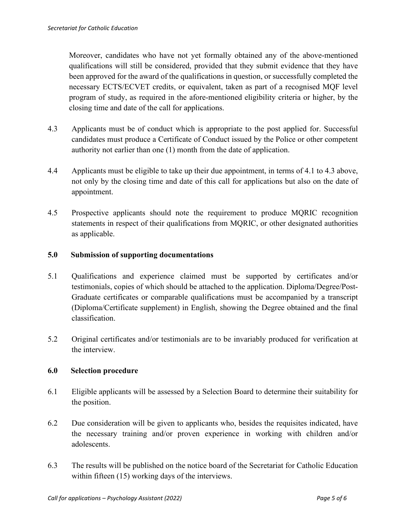Moreover, candidates who have not yet formally obtained any of the above-mentioned qualifications will still be considered, provided that they submit evidence that they have been approved for the award of the qualifications in question, or successfully completed the necessary ECTS/ECVET credits, or equivalent, taken as part of a recognised MQF level program of study, as required in the afore-mentioned eligibility criteria or higher, by the closing time and date of the call for applications.

- 4.3 Applicants must be of conduct which is appropriate to the post applied for. Successful candidates must produce a Certificate of Conduct issued by the Police or other competent authority not earlier than one (1) month from the date of application.
- 4.4 Applicants must be eligible to take up their due appointment, in terms of 4.1 to 4.3 above, not only by the closing time and date of this call for applications but also on the date of appointment.
- 4.5 Prospective applicants should note the requirement to produce MQRIC recognition statements in respect of their qualifications from MQRIC, or other designated authorities as applicable.

### **5.0 Submission of supporting documentations**

- 5.1 Qualifications and experience claimed must be supported by certificates and/or testimonials, copies of which should be attached to the application. Diploma/Degree/Post-Graduate certificates or comparable qualifications must be accompanied by a transcript (Diploma/Certificate supplement) in English, showing the Degree obtained and the final classification.
- 5.2 Original certificates and/or testimonials are to be invariably produced for verification at the interview.

#### **6.0 Selection procedure**

- 6.1 Eligible applicants will be assessed by a Selection Board to determine their suitability for the position.
- 6.2 Due consideration will be given to applicants who, besides the requisites indicated, have the necessary training and/or proven experience in working with children and/or adolescents.
- 6.3 The results will be published on the notice board of the Secretariat for Catholic Education within fifteen (15) working days of the interviews.